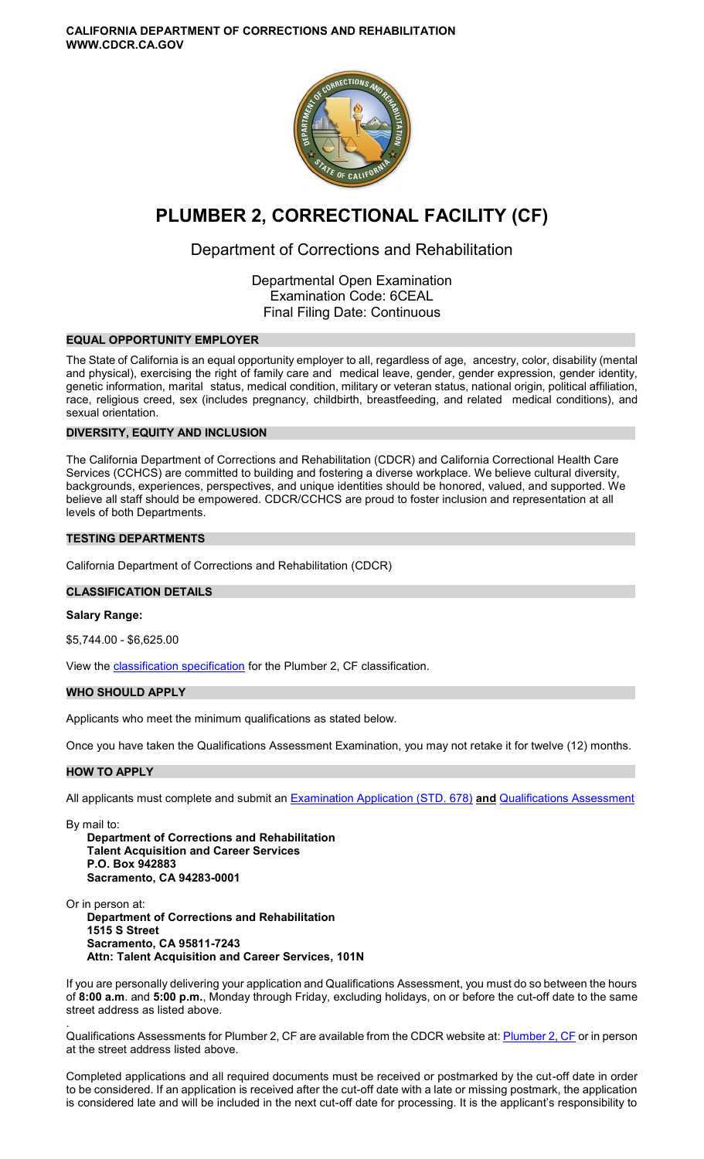**CALIFORNIA DEPARTMENT OF CORRECTIONS AND REHABILITATION WWW.CDCR.CA.GOV** 



# **PLUMBER 2, CORRECTIONAL FACILITY (CF)**

# Department of Corrections and Rehabilitation

Departmental Open Examination Examination Code: 6CEAL Final Filing Date: Continuous

# **EQUAL OPPORTUNITY EMPLOYER**

The State of California is an equal opportunity employer to all, regardless of age, ancestry, color, disability (mental and physical), exercising the right of family care and medical leave, gender, gender expression, gender identity, genetic information, marital status, medical condition, military or veteran status, national origin, political affiliation, race, religious creed, sex (includes pregnancy, childbirth, breastfeeding, and related medical conditions), and sexual orientation.

# **DIVERSITY, EQUITY AND INCLUSION**

The California Department of Corrections and Rehabilitation (CDCR) and California Correctional Health Care Services (CCHCS) are committed to building and fostering a diverse workplace. We believe cultural diversity, backgrounds, experiences, perspectives, and unique identities should be honored, valued, and supported. We believe all staff should be empowered. CDCR/CCHCS are proud to foster inclusion and representation at all levels of both Departments.

# **TESTING DEPARTMENTS**

California Department of Corrections and Rehabilitation (CDCR)

# **CLASSIFICATION DETAILS**

#### **Salary Range:**

\$5,744.00 - \$6,625.00

View the **classification specification** for the Plumber 2, CF classification.

# **WHO SHOULD APPLY**

Applicants who meet the minimum qualifications as stated below.

Once you have taken the Qualifications Assessment Examination, you may not retake it for twelve (12) months.

#### **HOW TO APPLY**

All applicants must complete and submit an [Examination Application \(STD. 678\)](https://jobs.ca.gov/pdf/STD678.pdf) **and** [Qualifications Assessment](https://www.cdcr.ca.gov/careers/plumber2cfqa-o-c/) 

By mail to:

**Department of Corrections and Rehabilitation Talent Acquisition and Career Services P.O. Box 942883 Sacramento, CA 94283-0001** 

Or in person at:

**Department of Corrections and Rehabilitation 1515 S Street Sacramento, CA 95811-7243 Attn: Talent Acquisition and Career Services, 101N** 

If you are personally delivering your application and Qualifications Assessment, you must do so between the hours of **8:00 a.m**. and **5:00 p.m.**, Monday through Friday, excluding holidays, on or before the cut-off date to the same street address as listed above.

. Qualifications Assessments for Plumber 2, CF are available from the CDCR website at[: Plumber 2, CF o](https://www.cdcr.ca.gov/careers/plumber2cfqa-o-c/)r in person at the street address listed above.

Completed applications and all required documents must be received or postmarked by the cut-off date in order to be considered. If an application is received after the cut-off date with a late or missing postmark, the application is considered late and will be included in the next cut-off date for processing. It is the applicant's responsibility to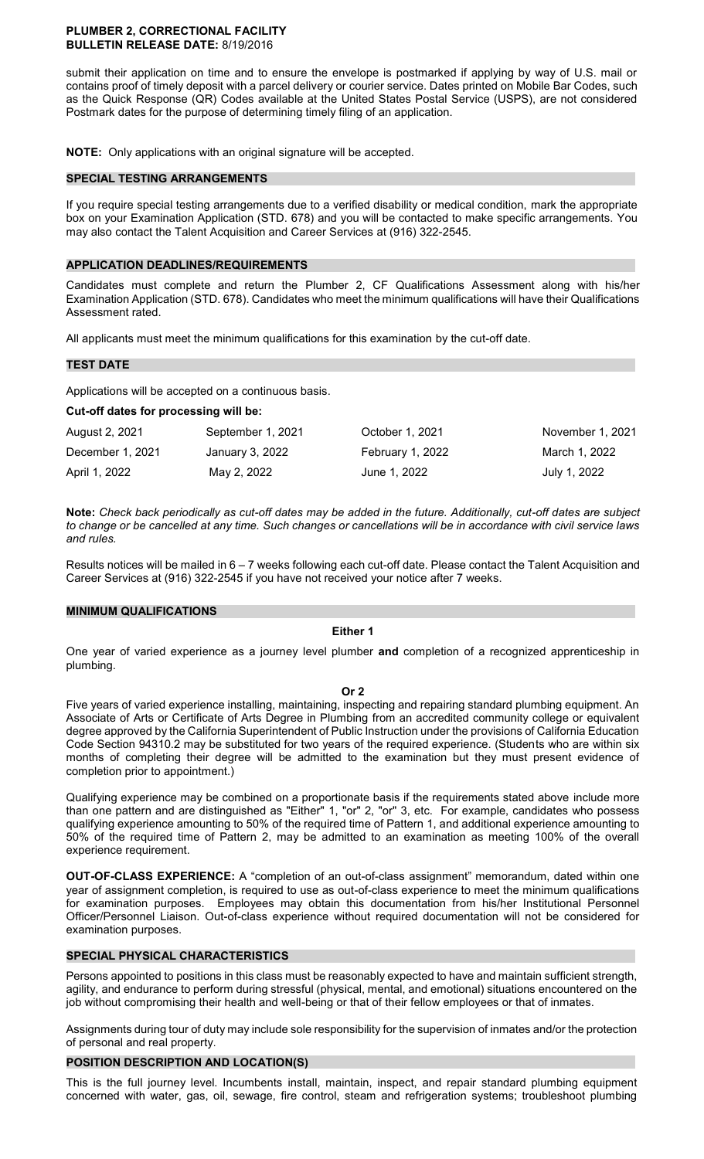#### **PLUMBER 2, CORRECTIONAL FACILITY BULLETIN RELEASE DATE:** 8/19/2016

submit their application on time and to ensure the envelope is postmarked if applying by way of U.S. mail or contains proof of timely deposit with a parcel delivery or courier service. Dates printed on Mobile Bar Codes, such as the Quick Response (QR) Codes available at the United States Postal Service (USPS), are not considered Postmark dates for the purpose of determining timely filing of an application.

**NOTE:** Only applications with an original signature will be accepted.

#### **SPECIAL TESTING ARRANGEMENTS**

If you require special testing arrangements due to a verified disability or medical condition, mark the appropriate box on your Examination Application (STD. 678) and you will be contacted to make specific arrangements. You may also contact the Talent Acquisition and Career Services at (916) 322-2545.

# **APPLICATION DEADLINES/REQUIREMENTS**

Candidates must complete and return the Plumber 2, CF Qualifications Assessment along with his/her Examination Application (STD. 678). Candidates who meet the minimum qualifications will have their Qualifications Assessment rated.

All applicants must meet the minimum qualifications for this examination by the cut-off date.

# **TEST DATE**

Applications will be accepted on a continuous basis.

#### **Cut-off dates for processing will be:**

| August 2, 2021   | September 1, 2021 | October 1, 2021  | November 1, 2021 |
|------------------|-------------------|------------------|------------------|
| December 1, 2021 | January 3, 2022   | February 1, 2022 | March 1. 2022    |
| April 1, 2022    | May 2, 2022       | June 1, 2022     | July 1, 2022     |

**Note:** *Check back periodically as cut-off dates may be added in the future. Additionally, cut-off dates are subject to change or be cancelled at any time. Such changes or cancellations will be in accordance with civil service laws and rules.* 

Results notices will be mailed in 6 – 7 weeks following each cut-off date. Please contact the Talent Acquisition and Career Services at (916) 322-2545 if you have not received your notice after 7 weeks.

#### **MINIMUM QUALIFICATIONS**

# **Either 1**

One year of varied experience as a journey level plumber **and** completion of a recognized apprenticeship in plumbing.

#### **Or 2**

Five years of varied experience installing, maintaining, inspecting and repairing standard plumbing equipment. An Associate of Arts or Certificate of Arts Degree in Plumbing from an accredited community college or equivalent degree approved by the California Superintendent of Public Instruction under the provisions of California Education Code Section 94310.2 may be substituted for two years of the required experience. (Students who are within six months of completing their degree will be admitted to the examination but they must present evidence of completion prior to appointment.)

Qualifying experience may be combined on a proportionate basis if the requirements stated above include more than one pattern and are distinguished as "Either" 1, "or" 2, "or" 3, etc. For example, candidates who possess qualifying experience amounting to 50% of the required time of Pattern 1, and additional experience amounting to 50% of the required time of Pattern 2, may be admitted to an examination as meeting 100% of the overall experience requirement.

**OUT-OF-CLASS EXPERIENCE:** A "completion of an out-of-class assignment" memorandum, dated within one year of assignment completion, is required to use as out-of-class experience to meet the minimum qualifications for examination purposes. Employees may obtain this documentation from his/her Institutional Personnel Officer/Personnel Liaison. Out-of-class experience without required documentation will not be considered for examination purposes.

# **SPECIAL PHYSICAL CHARACTERISTICS**

Persons appointed to positions in this class must be reasonably expected to have and maintain sufficient strength, agility, and endurance to perform during stressful (physical, mental, and emotional) situations encountered on the job without compromising their health and well-being or that of their fellow employees or that of inmates.

Assignments during tour of duty may include sole responsibility for the supervision of inmates and/or the protection of personal and real property.

#### **POSITION DESCRIPTION AND LOCATION(S)**

This is the full journey level. Incumbents install, maintain, inspect, and repair standard plumbing equipment concerned with water, gas, oil, sewage, fire control, steam and refrigeration systems; troubleshoot plumbing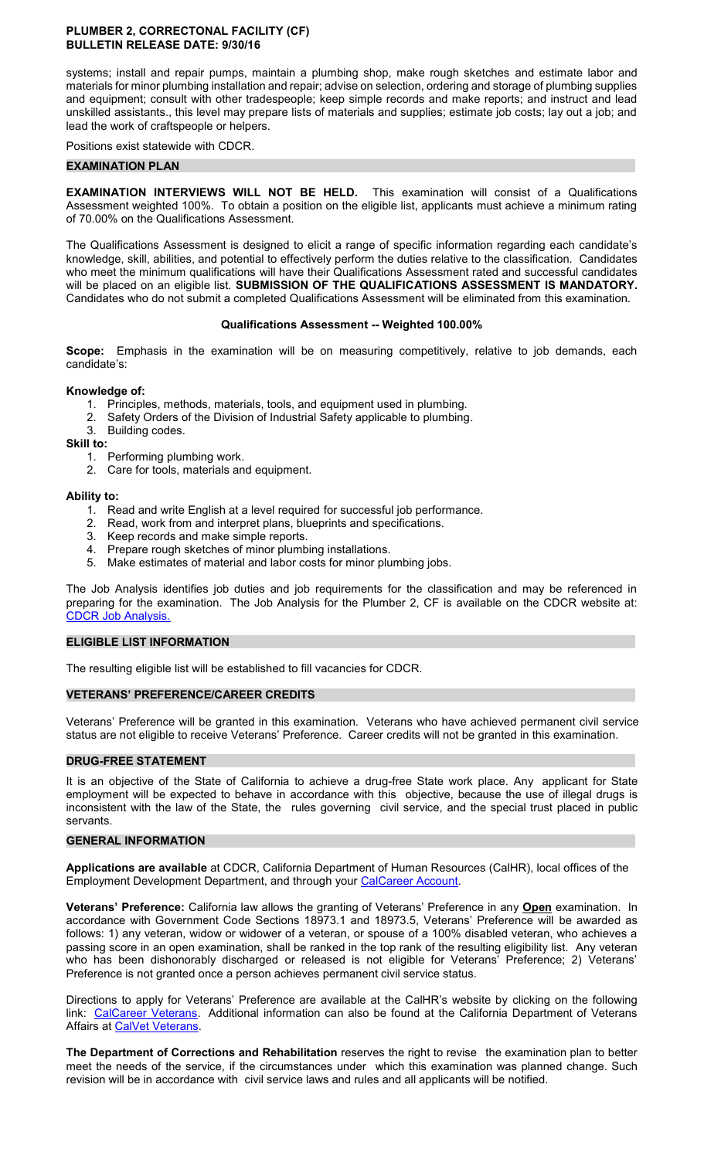#### **PLUMBER 2, CORRECTONAL FACILITY (CF) BULLETIN RELEASE DATE: 9/30/16**

systems; install and repair pumps, maintain a plumbing shop, make rough sketches and estimate labor and materials for minor plumbing installation and repair; advise on selection, ordering and storage of plumbing supplies and equipment; consult with other tradespeople; keep simple records and make reports; and instruct and lead unskilled assistants., this level may prepare lists of materials and supplies; estimate job costs; lay out a job; and lead the work of craftspeople or helpers.

Positions exist statewide with CDCR.

#### **EXAMINATION PLAN**

**EXAMINATION INTERVIEWS WILL NOT BE HELD.** This examination will consist of a Qualifications Assessment weighted 100%. To obtain a position on the eligible list, applicants must achieve a minimum rating of 70.00% on the Qualifications Assessment.

The Qualifications Assessment is designed to elicit a range of specific information regarding each candidate's knowledge, skill, abilities, and potential to effectively perform the duties relative to the classification. Candidates who meet the minimum qualifications will have their Qualifications Assessment rated and successful candidates will be placed on an eligible list. **SUBMISSION OF THE QUALIFICATIONS ASSESSMENT IS MANDATORY.**  Candidates who do not submit a completed Qualifications Assessment will be eliminated from this examination.

# **Qualifications Assessment -- Weighted 100.00%**

**Scope:** Emphasis in the examination will be on measuring competitively, relative to job demands, each candidate's:

# **Knowledge of:**

- 1. Principles, methods, materials, tools, and equipment used in plumbing.
- Safety Orders of the Division of Industrial Safety applicable to plumbing. 2. Safety Orders u<br>3. Building codes.
- 

**Skill to:** 

- 1. Performing plumbing work.
- 2. Care for tools, materials and equipment.

# **Ability to:**

- 1. Read and write English at a level required for successful job performance.
- 2. Read, work from and interpret plans, blueprints and specifications.
- 3. Keep records and make simple reports.
- 4. Prepare rough sketches of minor plumbing installations.
- 5. Make estimates of material and labor costs for minor plumbing jobs.

The Job Analysis identifies job duties and job requirements for the classification and may be referenced in preparing for the examination. The Job Analysis for the Plumber 2, CF is available on the CDCR website at: [CDCR Job Analysis.](https://www.cdcr.ca.gov/Career_Opportunities/HR/OPS/Exams/Analysis/index.html)

#### **ELIGIBLE LIST INFORMATION**

The resulting eligible list will be established to fill vacancies for CDCR.

# **VETERANS' PREFERENCE/CAREER CREDITS**

Veterans' Preference will be granted in this examination. Veterans who have achieved permanent civil service status are not eligible to receive Veterans' Preference. Career credits will not be granted in this examination.

# **DRUG-FREE STATEMENT**

It is an objective of the State of California to achieve a drug-free State work place. Any applicant for State employment will be expected to behave in accordance with this objective, because the use of illegal drugs is inconsistent with the law of the State, the rules governing civil service, and the special trust placed in public servants.

#### **GENERAL INFORMATION**

**Applications are available** at CDCR, California Department of Human Resources (CalHR), local offices of the Employment Development Department, and through your [CalCareer Account.](https://www.jobs.ca.gov/)

**Veterans' Preference:** California law allows the granting of Veterans' Preference in any **Open** examination. In accordance with Government Code Sections 18973.1 and 18973.5, Veterans' Preference will be awarded as follows: 1) any veteran, widow or widower of a veteran, or spouse of a 100% disabled veteran, who achieves a passing score in an open examination, shall be ranked in the top rank of the resulting eligibility list. Any veteran who has been dishonorably discharged or released is not eligible for Veterans' Preference; 2) Veterans' Preference is not granted once a person achieves permanent civil service status.

Directions to apply for Veterans' Preference are available at the CalHR's website by clicking on the following link: [CalCareer Veterans.](https://jobs.ca.gov/CalHRPublic/Landing/Veterans.aspx) Additional information can also be found at the California Department of Veterans Affairs at [CalVet Veterans.](http://www.calvet.ca.gov/veteran-services-benefits/employment)

**The Department of Corrections and Rehabilitation** reserves the right to revise the examination plan to better meet the needs of the service, if the circumstances under which this examination was planned change. Such revision will be in accordance with civil service laws and rules and all applicants will be notified.